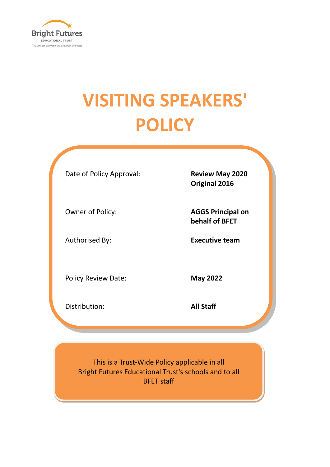

# **VISITING SPEAKERS' POLICY**

Date of Policy Approval: **Review May 2020** 

**Original 2016**

Owner of Policy: **AGGS Principal on behalf of BFET**

Authorised By: **Executive team**

Policy Review Date: **May 2022** 

Distribution: **All Staff**

This is a Trust-Wide Policy applicable in all Bright Futures Educational Trust's schools and to all BFET staff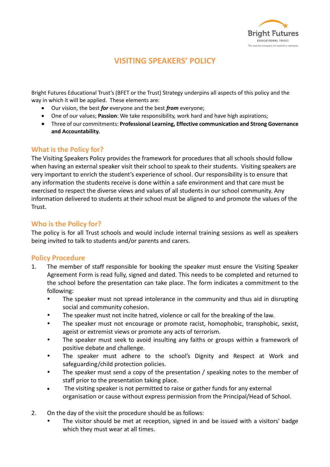

## **VISITING SPEAKERS' POLICY**

Bright Futures Educational Trust's (BFET or the Trust) Strategy underpins all aspects of this policy and the way in which it will be applied. These elements are:

- Our vision, the best *for* everyone and the best *from* everyone;
- One of our values; **Passion**: We take responsibility, work hard and have high aspirations;
- Three of our commitments: **Professional Learning, Effective communication and Strong Governance and Accountability.**

#### **What is the Policy for?**

The Visiting Speakers Policy provides the framework for procedures that all schools should follow when having an external speaker visit their school to speak to their students. Visiting speakers are very important to enrich the student's experience of school. Our responsibility is to ensure that any information the students receive is done within a safe environment and that care must be exercised to respect the diverse views and values of all students in our school community. Any information delivered to students at their school must be aligned to and promote the values of the Trust.

#### **Who is the Policy for?**

The policy is for all Trust schools and would include internal training sessions as well as speakers being invited to talk to students and/or parents and carers.

#### **Policy Procedure**

- 1. The member of staff responsible for booking the speaker must ensure the Visiting Speaker Agreement Form is read fully, signed and dated. This needs to be completed and returned to the school before the presentation can take place. The form indicates a commitment to the following:
	- The speaker must not spread intolerance in the community and thus aid in disrupting social and community cohesion.
	- The speaker must not incite hatred, violence or call for the breaking of the law.
	- The speaker must not encourage or promote racist, homophobic, transphobic, sexist, ageist or extremist views or promote any acts of terrorism.
	- The speaker must seek to avoid insulting any faiths or groups within a framework of positive debate and challenge.
	- The speaker must adhere to the school's Dignity and Respect at Work and safeguarding/child protection policies.
	- The speaker must send a copy of the presentation / speaking notes to the member of staff prior to the presentation taking place.
	- The visiting speaker is not permitted to raise or gather funds for any external organisation or cause without express permission from the Principal/Head of School.
- 2. On the day of the visit the procedure should be as follows:
	- The visitor should be met at reception, signed in and be issued with a visitors' badge which they must wear at all times.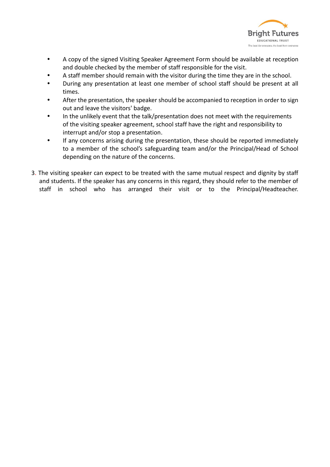

- A copy of the signed Visiting Speaker Agreement Form should be available at reception and double checked by the member of staff responsible for the visit.
- A staff member should remain with the visitor during the time they are in the school.
- During any presentation at least one member of school staff should be present at all times.
- After the presentation, the speaker should be accompanied to reception in order to sign out and leave the visitors' badge.
- In the unlikely event that the talk/presentation does not meet with the requirements of the visiting speaker agreement, school staff have the right and responsibility to interrupt and/or stop a presentation.
- If any concerns arising during the presentation, these should be reported immediately to a member of the school's safeguarding team and/or the Principal/Head of School depending on the nature of the concerns.
- 3. The visiting speaker can expect to be treated with the same mutual respect and dignity by staff and students. If the speaker has any concerns in this regard, they should refer to the member of staff in school who has arranged their visit or to the Principal/Headteacher.